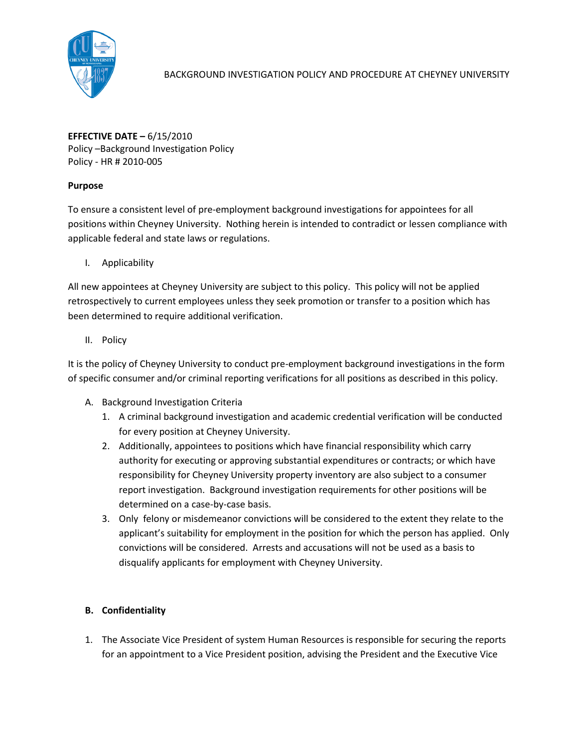

**EFFECTIVE DATE –** 6/15/2010 Policy –Background Investigation Policy Policy - HR # 2010-005

## **Purpose**

To ensure a consistent level of pre-employment background investigations for appointees for all positions within Cheyney University. Nothing herein is intended to contradict or lessen compliance with applicable federal and state laws or regulations.

I. Applicability

All new appointees at Cheyney University are subject to this policy. This policy will not be applied retrospectively to current employees unless they seek promotion or transfer to a position which has been determined to require additional verification.

II. Policy

It is the policy of Cheyney University to conduct pre-employment background investigations in the form of specific consumer and/or criminal reporting verifications for all positions as described in this policy.

- A. Background Investigation Criteria
	- 1. A criminal background investigation and academic credential verification will be conducted for every position at Cheyney University.
	- 2. Additionally, appointees to positions which have financial responsibility which carry authority for executing or approving substantial expenditures or contracts; or which have responsibility for Cheyney University property inventory are also subject to a consumer report investigation. Background investigation requirements for other positions will be determined on a case-by-case basis.
	- 3. Only felony or misdemeanor convictions will be considered to the extent they relate to the applicant's suitability for employment in the position for which the person has applied. Only convictions will be considered. Arrests and accusations will not be used as a basis to disqualify applicants for employment with Cheyney University.

# **B. Confidentiality**

1. The Associate Vice President of system Human Resources is responsible for securing the reports for an appointment to a Vice President position, advising the President and the Executive Vice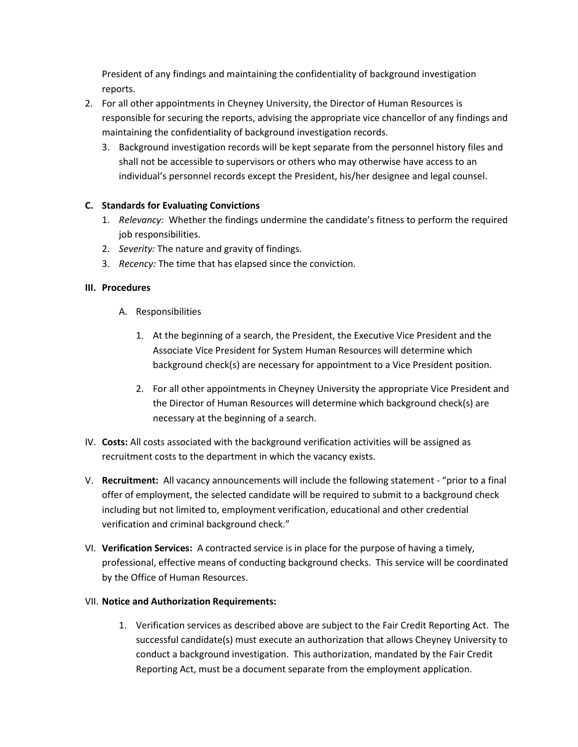President of any findings and maintaining the confidentiality of background investigation reports.

- 2. For all other appointments in Cheyney University, the Director of Human Resources is responsible for securing the reports, advising the appropriate vice chancellor of any findings and maintaining the confidentiality of background investigation records.
	- 3. Background investigation records will be kept separate from the personnel history files and shall not be accessible to supervisors or others who may otherwise have access to an individual's personnel records except the President, his/her designee and legal counsel.

## **C. Standards for Evaluating Convictions**

- 1. *Relevancy:* Whether the findings undermine the candidate's fitness to perform the required job responsibilities.
- 2. *Severity:* The nature and gravity of findings.
- 3. *Recency:* The time that has elapsed since the conviction.

#### **III. Procedures**

- A. Responsibilities
	- 1. At the beginning of a search, the President, the Executive Vice President and the Associate Vice President for System Human Resources will determine which background check(s) are necessary for appointment to a Vice President position.
	- 2. For all other appointments in Cheyney University the appropriate Vice President and the Director of Human Resources will determine which background check(s) are necessary at the beginning of a search.
- IV. **Costs:** All costs associated with the background verification activities will be assigned as recruitment costs to the department in which the vacancy exists.
- V. **Recruitment:** All vacancy announcements will include the following statement "prior to a final offer of employment, the selected candidate will be required to submit to a background check including but not limited to, employment verification, educational and other credential verification and criminal background check."
- VI. **Verification Services:** A contracted service is in place for the purpose of having a timely, professional, effective means of conducting background checks. This service will be coordinated by the Office of Human Resources.

#### VII. **Notice and Authorization Requirements:**

1. Verification services as described above are subject to the Fair Credit Reporting Act. The successful candidate(s) must execute an authorization that allows Cheyney University to conduct a background investigation. This authorization, mandated by the Fair Credit Reporting Act, must be a document separate from the employment application.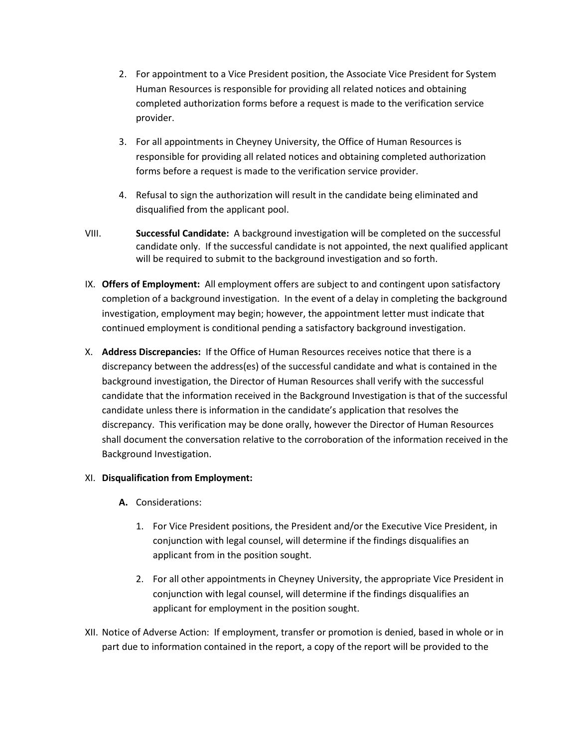- 2. For appointment to a Vice President position, the Associate Vice President for System Human Resources is responsible for providing all related notices and obtaining completed authorization forms before a request is made to the verification service provider.
- 3. For all appointments in Cheyney University, the Office of Human Resources is responsible for providing all related notices and obtaining completed authorization forms before a request is made to the verification service provider.
- 4. Refusal to sign the authorization will result in the candidate being eliminated and disqualified from the applicant pool.
- VIII. **Successful Candidate:** A background investigation will be completed on the successful candidate only. If the successful candidate is not appointed, the next qualified applicant will be required to submit to the background investigation and so forth.
- IX. **Offers of Employment:** All employment offers are subject to and contingent upon satisfactory completion of a background investigation. In the event of a delay in completing the background investigation, employment may begin; however, the appointment letter must indicate that continued employment is conditional pending a satisfactory background investigation.
- X. **Address Discrepancies:** If the Office of Human Resources receives notice that there is a discrepancy between the address(es) of the successful candidate and what is contained in the background investigation, the Director of Human Resources shall verify with the successful candidate that the information received in the Background Investigation is that of the successful candidate unless there is information in the candidate's application that resolves the discrepancy. This verification may be done orally, however the Director of Human Resources shall document the conversation relative to the corroboration of the information received in the Background Investigation.

## XI. **Disqualification from Employment:**

- **A.** Considerations:
	- 1. For Vice President positions, the President and/or the Executive Vice President, in conjunction with legal counsel, will determine if the findings disqualifies an applicant from in the position sought.
	- 2. For all other appointments in Cheyney University, the appropriate Vice President in conjunction with legal counsel, will determine if the findings disqualifies an applicant for employment in the position sought.
- XII. Notice of Adverse Action: If employment, transfer or promotion is denied, based in whole or in part due to information contained in the report, a copy of the report will be provided to the